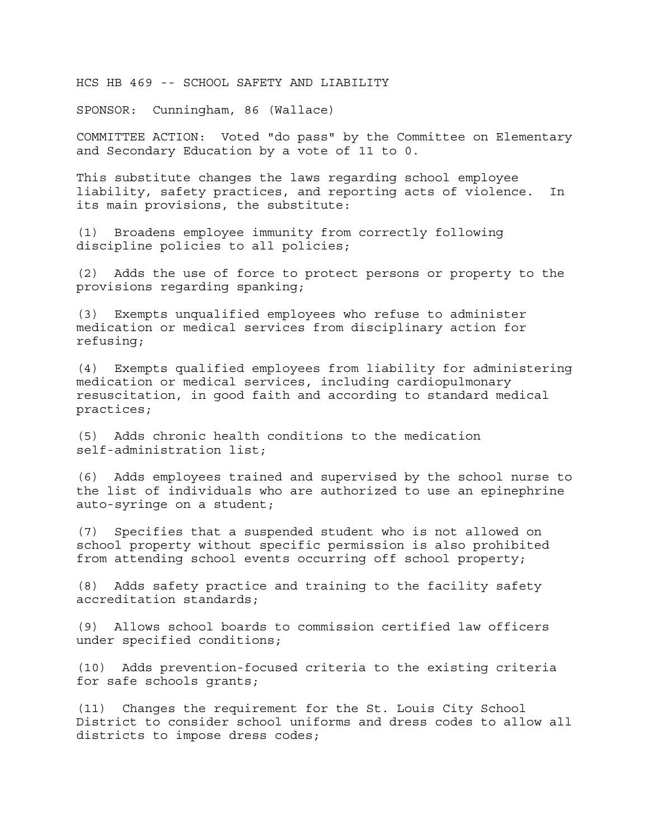HCS HB 469 -- SCHOOL SAFETY AND LIABILITY

SPONSOR: Cunningham, 86 (Wallace)

COMMITTEE ACTION: Voted "do pass" by the Committee on Elementary and Secondary Education by a vote of 11 to 0.

This substitute changes the laws regarding school employee liability, safety practices, and reporting acts of violence. In its main provisions, the substitute:

(1) Broadens employee immunity from correctly following discipline policies to all policies;

(2) Adds the use of force to protect persons or property to the provisions regarding spanking;

(3) Exempts unqualified employees who refuse to administer medication or medical services from disciplinary action for refusing;

(4) Exempts qualified employees from liability for administering medication or medical services, including cardiopulmonary resuscitation, in good faith and according to standard medical practices;

(5) Adds chronic health conditions to the medication self-administration list;

(6) Adds employees trained and supervised by the school nurse to the list of individuals who are authorized to use an epinephrine auto-syringe on a student;

(7) Specifies that a suspended student who is not allowed on school property without specific permission is also prohibited from attending school events occurring off school property;

(8) Adds safety practice and training to the facility safety accreditation standards;

(9) Allows school boards to commission certified law officers under specified conditions;

(10) Adds prevention-focused criteria to the existing criteria for safe schools grants;

(11) Changes the requirement for the St. Louis City School District to consider school uniforms and dress codes to allow all districts to impose dress codes;